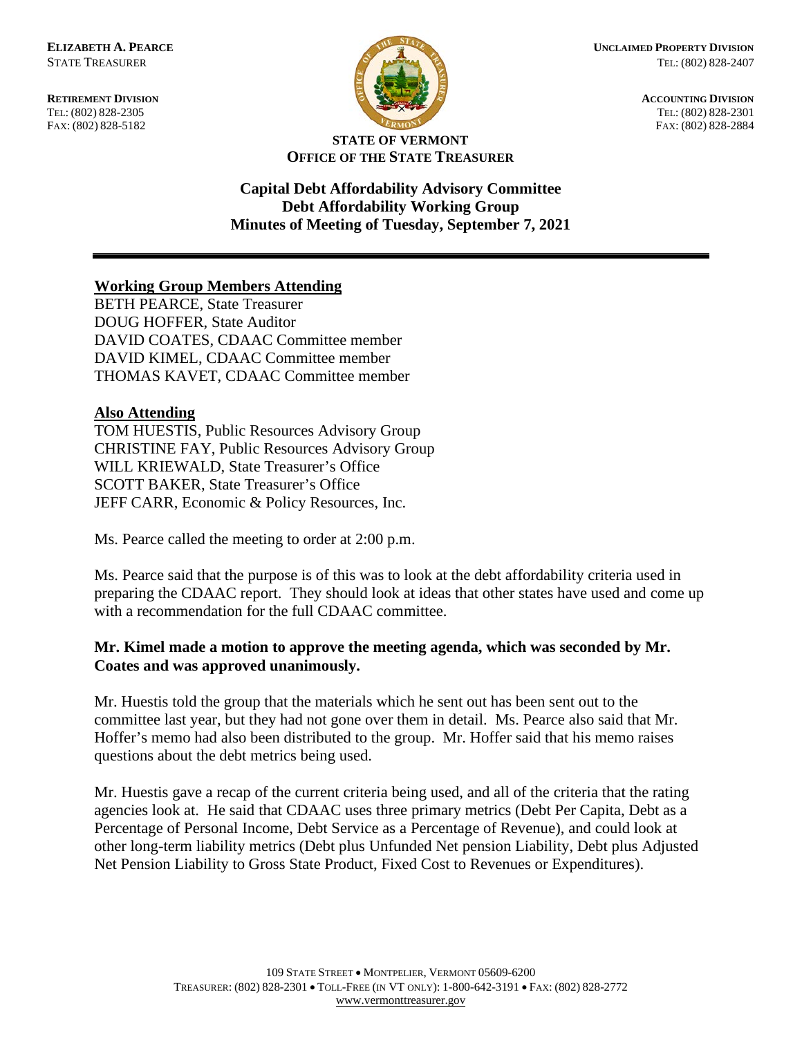FAX: (802) 828-5182



**RETIREMENT DIVISION ACCOUNTING DIVISION** TEL: (802) 828-2305<br>
FAX: (802) 828-2305<br>
FAX: (802) 828-2884<br>
TEL: (802) 828-2884

## **STATE OF VERMONT OFFICE OF THE STATE TREASURER**

**Capital Debt Affordability Advisory Committee Debt Affordability Working Group Minutes of Meeting of Tuesday, September 7, 2021**

## **Working Group Members Attending**

BETH PEARCE, State Treasurer DOUG HOFFER, State Auditor DAVID COATES, CDAAC Committee member DAVID KIMEL, CDAAC Committee member THOMAS KAVET, CDAAC Committee member

## **Also Attending**

TOM HUESTIS, Public Resources Advisory Group CHRISTINE FAY, Public Resources Advisory Group WILL KRIEWALD, State Treasurer's Office SCOTT BAKER, State Treasurer's Office JEFF CARR, Economic & Policy Resources, Inc.

Ms. Pearce called the meeting to order at 2:00 p.m.

Ms. Pearce said that the purpose is of this was to look at the debt affordability criteria used in preparing the CDAAC report. They should look at ideas that other states have used and come up with a recommendation for the full CDAAC committee.

## **Mr. Kimel made a motion to approve the meeting agenda, which was seconded by Mr. Coates and was approved unanimously.**

Mr. Huestis told the group that the materials which he sent out has been sent out to the committee last year, but they had not gone over them in detail. Ms. Pearce also said that Mr. Hoffer's memo had also been distributed to the group. Mr. Hoffer said that his memo raises questions about the debt metrics being used.

Mr. Huestis gave a recap of the current criteria being used, and all of the criteria that the rating agencies look at. He said that CDAAC uses three primary metrics (Debt Per Capita, Debt as a Percentage of Personal Income, Debt Service as a Percentage of Revenue), and could look at other long-term liability metrics (Debt plus Unfunded Net pension Liability, Debt plus Adjusted Net Pension Liability to Gross State Product, Fixed Cost to Revenues or Expenditures).